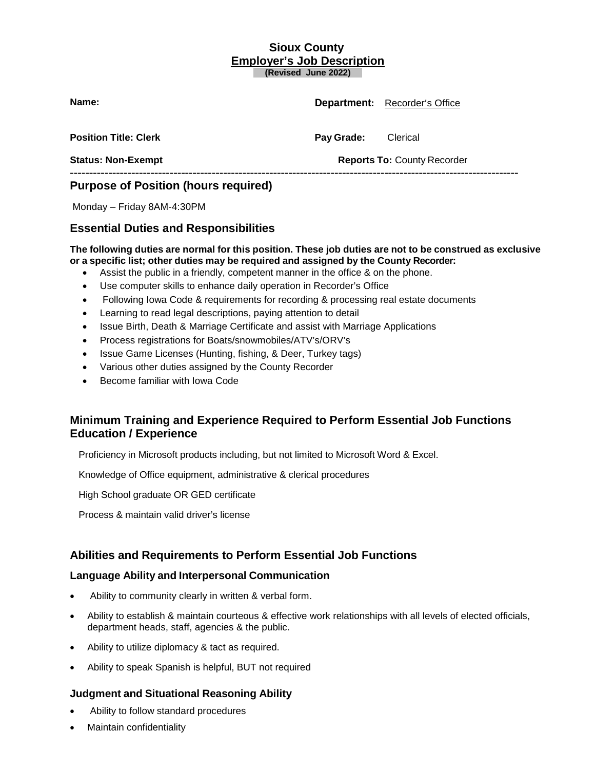### **Sioux County Employer's Job Description (Revised June 2022)**

**Name: Department:** Recorder's Office **Position Title: Clerk Pay Grade:** Clerical **Status: Non-Exempt Reports To:** County Recorder **--------------------------------------------------------------------------------------------------------------------- Purpose of Position (hours required)**

Monday – Friday 8AM-4:30PM

## **Essential Duties and Responsibilities**

#### The following duties are normal for this position. These job duties are not to be construed as exclusive **or a specific list; other duties may be required and assigned by the County Recorder:**

- Assist the public in a friendly, competent manner in the office & on the phone.
- Use computer skills to enhance daily operation in Recorder's Office
- Following Iowa Code & requirements for recording & processing real estate documents
- Learning to read legal descriptions, paying attention to detail
- Issue Birth, Death & Marriage Certificate and assist with Marriage Applications
- Process registrations for Boats/snowmobiles/ATV's/ORV's
- Issue Game Licenses (Hunting, fishing, & Deer, Turkey tags)
- Various other duties assigned by the County Recorder
- Become familiar with Iowa Code

# **Minimum Training and Experience Required to Perform Essential Job Functions Education / Experience**

Proficiency in Microsoft products including, but not limited to Microsoft Word & Excel.

Knowledge of Office equipment, administrative & clerical procedures

High School graduate OR GED certificate

Process & maintain valid driver's license

## **Abilities and Requirements to Perform Essential Job Functions**

#### **Language Ability and Interpersonal Communication**

- Ability to community clearly in written & verbal form.
- Ability to establish & maintain courteous & effective work relationships with all levels of elected officials, department heads, staff, agencies & the public.
- Ability to utilize diplomacy & tact as required.
- Ability to speak Spanish is helpful, BUT not required

### **Judgment and Situational Reasoning Ability**

- Ability to follow standard procedures
- Maintain confidentiality